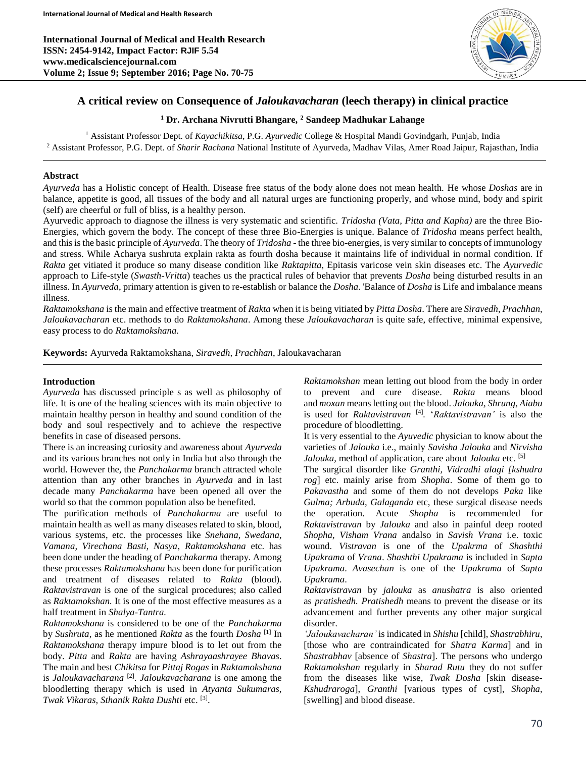**International Journal of Medical and Health Research ISSN: 2454-9142, Impact Factor: RJIF 5.54 www.medicalsciencejournal.com Volume 2; Issue 9; September 2016; Page No. 70-75**



## **A critical review on Consequence of** *Jaloukavacharan* **(leech therapy) in clinical practice**

## **<sup>1</sup> Dr. Archana Nivrutti Bhangare, <sup>2</sup> Sandeep Madhukar Lahange**

<sup>1</sup> Assistant Professor Dept. of *Kayachikitsa*, P.G. *Ayurvedic* College & Hospital Mandi Govindgarh, Punjab, India <sup>2</sup> Assistant Professor, P.G. Dept. of *Sharir Rachana* National Institute of Ayurveda, Madhav Vilas, Amer Road Jaipur, Rajasthan, India

## **Abstract**

*Ayurveda* has a Holistic concept of Health. Disease free status of the body alone does not mean health. He whose *Doshas* are in balance, appetite is good, all tissues of the body and all natural urges are functioning properly, and whose mind, body and spirit (self) are cheerful or full of bliss, is a healthy person.

Ayurvedic approach to diagnose the illness is very systematic and scientific. *Tridosha (Vata, Pitta and Kapha)* are the three Bio-Energies, which govern the body. The concept of these three Bio-Energies is unique. Balance of *Tridosha* means perfect health, and this is the basic principle of *Ayurveda*. The theory of *Tridosha* - the three bio-energies, is very similar to concepts of immunology and stress. While Acharya sushruta explain rakta as fourth dosha because it maintains life of individual in normal condition. If *Rakta* get vitiated it produce so many disease condition like *Raktapitta*, Epitasis varicose vein skin diseases etc. The *Ayurvedic* approach to Life-style (*Swasth-Vritta*) teaches us the practical rules of behavior that prevents *Dosha* being disturbed results in an illness. In *Ayurveda*, primary attention is given to re-establish or balance the *Dosha*. 'Balance of *Dosha* is Life and imbalance means illness.

*Raktamokshana* is the main and effective treatment of *Rakta* when it is being vitiated by *Pitta Dosha*. There are *Siravedh, Prachhan, Jaloukavacharan* etc. methods to do *Raktamokshana*. Among these *Jaloukavacharan* is quite safe, effective, minimal expensive, easy process to do *Raktamokshana.*

**Keywords:** Ayurveda Raktamokshana, *Siravedh, Prachhan*, Jaloukavacharan

## **Introduction**

*Ayurveda* has discussed principle s as well as philosophy of life. It is one of the healing sciences with its main objective to maintain healthy person in healthy and sound condition of the body and soul respectively and to achieve the respective benefits in case of diseased persons.

There is an increasing curiosity and awareness about *Ayurveda* and its various branches not only in India but also through the world. However the, the *Panchakarma* branch attracted whole attention than any other branches in *Ayurveda* and in last decade many *Panchakarma* have been opened all over the world so that the common population also be benefited.

The purification methods of *Panchakarma* are useful to maintain health as well as many diseases related to skin, blood, various systems, etc. the processes like *Snehana, Swedana, Vamana, Virechana Basti, Nasya*, *Raktamokshana* etc. has been done under the heading of *Panchakarma* therapy. Among these processes *Raktamokshana* has been done for purification and treatment of diseases related to *Rakta* (blood). *Raktavistravan* is one of the surgical procedures; also called as *Raktamokshan.* It is one of the most effective measures as a half treatment in *Shalya-Tantra.*

*Raktamokshana* is considered to be one of the *Panchakarma* by *Sushruta*, as he mentioned *Rakta* as the fourth *Dosha* [1] In *Raktamokshana* therapy impure blood is to let out from the body. *Pitta* and *Rakta* are having *Ashrayaashrayee Bhavas*. The main and best *Chikitsa* for *Pittaj Rogas* in *Raktamokshana* is *Jaloukavacharana* [2] . *Jaloukavacharana* is one among the bloodletting therapy which is used in *Atyanta Sukumaras, Twak Vikaras, Sthanik Rakta Dushti* etc. [3] .

*Raktamokshan* mean letting out blood from the body in order to prevent and cure disease. *Rakta* means blood and *moxan* means letting out the blood. *Jalouka, Shrung, Aiabu* is used for *Raktavistravan* [4] *.* '*Raktavistravan'* is also the procedure of bloodletting.

It is very essential to the *Ayuvedic* physician to know about the varieties of *Jalouka* i.e., mainly *Savisha Jalouka* and *Nirvisha Jalouka*, method of application, care about *Jalouka* etc. [5]

The surgical disorder like *Granthi, Vidradhi alagi [kshudra rog*] etc. mainly arise from *Shopha*. Some of them go to *Pakavastha* and some of them do not develops *Paka* like *Gulma; Arbuda, Galaganda* etc, these surgical disease needs the operation. Acute *Shopha* is recommended for *Raktavistravan* by *Jalouka* and also in painful deep rooted *Shopha, Visham Vrana* andalso in *Savish Vrana* i.e. toxic wound. *Vistravan* is one of the *Upakrma* of *Shashthi Upakrama* of *Vrana*. *Shashthi Upakrama* is included in *Sapta Upakrama*. *Avasechan* is one of the *Upakrama* of *Sapta Upakrama*.

*Raktavistravan* by *jalouka* as *anushatra* is also oriented as *pratishedh. Pratishedh* means to prevent the disease or its advancement and further prevents any other major surgical disorder.

*'Jaloukavacharan'* is indicated in *Shishu* [child], *Shastrabhiru*, [those who are contraindicated for *Shatra Karma*] and in *Shastrabhav* [absence of *Shastra*]. The persons who undergo *Raktamokshan* regularly in *Sharad Rutu* they do not suffer from the diseases like wise, *Twak Dosha* [skin disease-*Kshudraroga*], *Granthi* [various types of cyst], *Shopha,* [swelling] and blood disease.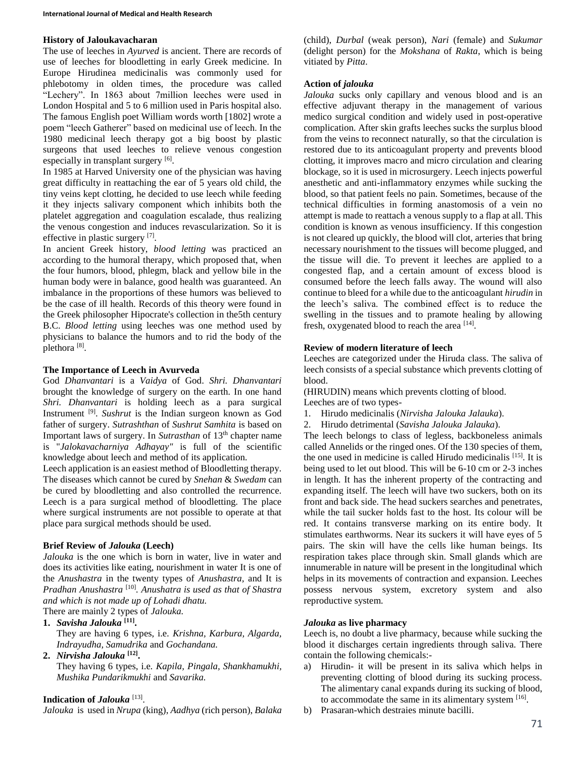## **History of Jaloukavacharan**

The use of leeches in *Ayurved* is ancient. There are records of use of leeches for bloodletting in early Greek medicine. In Europe Hirudinea medicinalis was commonly used for phlebotomy in olden times, the procedure was called "Lechery". In 1863 about 7million leeches were used in London Hospital and 5 to 6 million used in Paris hospital also. The famous English poet William words worth [1802] wrote a poem "leech Gatherer" based on medicinal use of leech. In the 1980 medicinal leech therapy got a big boost by plastic surgeons that used leeches to relieve venous congestion especially in transplant surgery [6].

In 1985 at Harved University one of the physician was having great difficulty in reattaching the ear of 5 years old child, the tiny veins kept clotting, he decided to use leech while feeding it they injects salivary component which inhibits both the platelet aggregation and coagulation escalade, thus realizing the venous congestion and induces revascularization. So it is effective in plastic surgery [7].

In ancient Greek history, *blood letting* was practiced an according to the humoral therapy, which proposed that, when the four humors, blood, phlegm, black and yellow bile in the human body were in balance, good health was guaranteed. An imbalance in the proportions of these humors was believed to be the case of ill health. Records of this theory were found in the Greek philosopher Hipocrate's collection in the5th century B.C. *Blood letting* using leeches was one method used by physicians to balance the humors and to rid the body of the plethora<sup>[8]</sup>.

## **The Importance of Leech in Avurveda**

God *Dhanvantari* is a *Vaidya* of God. *Shri. Dhanvantari* brought the knowledge of surgery on the earth. In one hand *Shri. Dhanvantari* is holding leech as a para surgical Instrument [9] . *Sushrut* is the Indian surgeon known as God father of surgery. *Sutrashthan* of *Sushrut Samhita* is based on Important laws of surgery. In *Sutrasthan* of 13th chapter name is "*Jalokavacharniya Adhayay"* is full of the scientific knowledge about leech and method of its application.

Leech application is an easiest method of Bloodletting therapy. The diseases which cannot be cured by *Snehan* & *Swedam* can be cured by bloodletting and also controlled the recurrence. Leech is a para surgical method of bloodletting. The place where surgical instruments are not possible to operate at that place para surgical methods should be used.

## **Brief Review of** *Jalouka* **(Leech)**

*Jalouka* is the one which is born in water, live in water and does its activities like eating, nourishment in water It is one of the *Anushastra* in the twenty types of *Anushastra,* and It is *Pradhan Anushastra* [10] *. Anushatra is used as that of Shastra and which is not made up of Lohadi dhatu.* There are mainly 2 types of *Jalouka.*

# **1.** *Savisha Jalouka* **[11] .**

They are having 6 types, i.e*. Krishna, Karbura, Algarda, Indrayudha, Samudrika* and *Gochandana.*

## **2.** *Nirvisha Jalouka* **[12] .**

They having 6 types, i.e*. Kapila, Pingala, Shankhamukhi, Mushika Pundarikmukhi* and *Savarika.*

## **Indication of** *Jalouka* [13] .

*Jalouka* is used in *Nrupa* (king), *Aadhya* (rich person), *Balaka*

(child), *Durbal* (weak person), *Nari* (female) and *Sukumar* (delight person) for the *Mokshana* of *Rakta*, which is being vitiated by *Pitta*.

## **Action of** *jalouka*

*Jalouka* sucks only capillary and venous blood and is an effective adjuvant therapy in the management of various medico surgical condition and widely used in post-operative complication. After skin grafts leeches sucks the surplus blood from the veins to reconnect naturally, so that the circulation is restored due to its anticoagulant property and prevents blood clotting, it improves macro and micro circulation and clearing blockage, so it is used in microsurgery. Leech injects powerful anesthetic and anti-inflammatory enzymes while sucking the blood, so that patient feels no pain. Sometimes, because of the technical difficulties in forming anastomosis of a vein no attempt is made to reattach a venous supply to a flap at all. This condition is known as venous insufficiency. If this congestion is not cleared up quickly, the blood will clot, arteries that bring necessary nourishment to the tissues will become plugged, and the tissue will die. To prevent it leeches are applied to a congested flap, and a certain amount of excess blood is consumed before the leech falls away. The wound will also continue to bleed for a while due to the anticoagulant *hirudin* in the leech's saliva. The combined effect is to reduce the swelling in the tissues and to pramote healing by allowing fresh, oxygenated blood to reach the area [14].

## **Review of modern literature of leech**

Leeches are categorized under the Hiruda class. The saliva of leech consists of a special substance which prevents clotting of blood.

(HIRUDIN) means which prevents clotting of blood. Leeches are of two types-

- 1. Hirudo medicinalis (*Nirvisha Jalouka Jalauka*).
- 2. Hirudo detrimental (*Savisha Jalouka Jalauka*).

The leech belongs to class of legless, backboneless animals called Annelids or the ringed ones. Of the 130 species of them, the one used in medicine is called Hirudo medicinalis [15] . It is being used to let out blood. This will be 6-10 cm or 2-3 inches in length. It has the inherent property of the contracting and expanding itself. The leech will have two suckers, both on its front and back side. The head suckers searches and penetrates, while the tail sucker holds fast to the host. Its colour will be red. It contains transverse marking on its entire body. It stimulates earthworms. Near its suckers it will have eyes of 5 pairs. The skin will have the cells like human beings. Its respiration takes place through skin. Small glands which are innumerable in nature will be present in the longitudinal which helps in its movements of contraction and expansion. Leeches possess nervous system, excretory system and also reproductive system.

## *Jalouka* **as live pharmacy**

Leech is, no doubt a live pharmacy, because while sucking the blood it discharges certain ingredients through saliva. There contain the following chemicals:-

- a) Hirudin- it will be present in its saliva which helps in preventing clotting of blood during its sucking process. The alimentary canal expands during its sucking of blood, to accommodate the same in its alimentary system  $[16]$ .
- b) Prasaran-which destraies minute bacilli.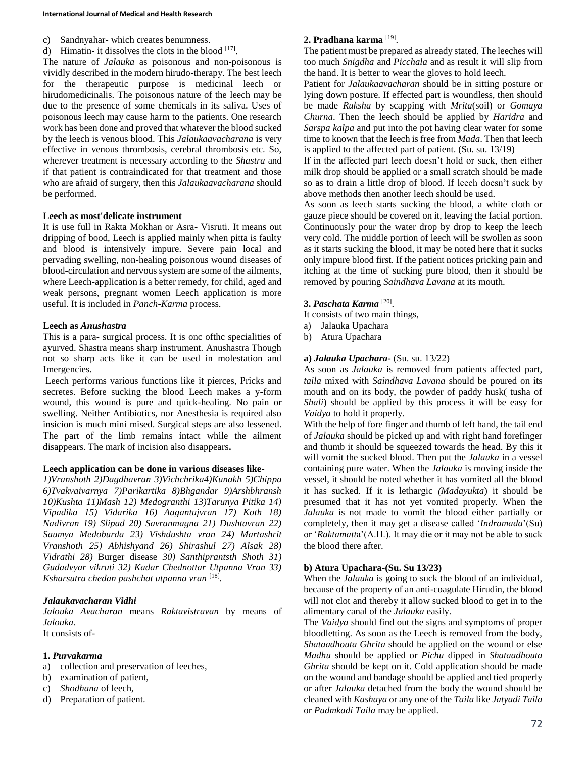- c) Sandnyahar- which creates benumness.
- d) Himatin- it dissolves the clots in the blood  $[17]$ .

The nature of *Jalauka* as poisonous and non-poisonous is vividly described in the modern hirudo-therapy. The best leech for the therapeutic purpose is medicinal leech or hirudomedicinalis. The poisonous nature of the leech may be due to the presence of some chemicals in its saliva. Uses of poisonous leech may cause harm to the patients. One research work has been done and proved that whatever the blood sucked by the leech is venous blood. This *Jalaukaavacharana* is very effective in venous thrombosis, cerebral thrombosis etc. So, wherever treatment is necessary according to the *Shastra* and if that patient is contraindicated for that treatment and those who are afraid of surgery, then this *Jalaukaavacharana* should be performed.

## **Leech as most'delicate instrument**

It is use full in Rakta Mokhan or Asra- Visruti. It means out dripping of bood, Leech is applied mainly when pitta is faulty and blood is intensively impure. Severe pain local and pervading swelling, non-healing poisonous wound diseases of blood-circulation and nervous system are some of the ailments, where Leech-application is a better remedy, for child, aged and weak persons, pregnant women Leech application is more useful. It is included in *Panch-Karma* process.

#### **Leech as** *Anushastra*

This is a para- surgical process. It is onc ofthc specialities of ayurved. Shastra means sharp instrument. Anushastra Though not so sharp acts like it can be used in molestation and Imergencies.

Leech performs various functions like it pierces, Pricks and secretes. Before sucking the blood Leech makes a y-form wound, this wound is pure and quick-healing. No pain or swelling. Neither Antibiotics, nor Anesthesia is required also insicion is much mini mised. Surgical steps are also lessened. The part of the limb remains intact while the ailment disappears. The mark of incision also disappears**.**

#### **Leech application can be done in various diseases like-**

*1)Vranshoth 2)Dagdhavran 3)Vichchrika4)Kunakh 5)Chippa 6)Tvakvaivarnya 7)Parikartika 8)Bhgandar 9)Arshbhransh 10)Kushta 11)Mash 12) Medogranthi 13)Tarunya Pitika 14) Vipadika 15) Vidarika 16) Aagantujvran 17) Koth 18) Nadivran 19) Slipad 20) Savranmagna 21) Dushtavran 22) Saumya Medoburda 23) Vishdushta vran 24) Martashrit Vranshoth 25) Abhishyand 26) Shirashul 27) Alsak 28) Vidrathi 28)* Burger disease *30) Santhiprantsth Shoth 31) Gudadvyar vikruti 32) Kadar Chednottar Utpanna Vran 33) Ksharsutra chedan pashchat utpanna vran* [18] *.*

#### *Jalaukavacharan Vidhi*

*Jalouka Avacharan* means *Raktavistravan* by means of *Jalouka*.

It consists of-

### **1.** *Purvakarma*

- a) collection and preservation of leeches,
- b) examination of patient,
- c) *Shodhana* of leech,
- d) Preparation of patient.

### **2. Pradhana karma** [19] .

The patient must be prepared as already stated. The leeches will too much *Snigdha* and *Picchala* and as result it will slip from the hand. It is better to wear the gloves to hold leech.

Patient for *Jalaukaavacharan* should be in sitting posture or lying down posture. If effected part is woundless, then should be made *Ruksha* by scapping with *Mrita*(soil) or *Gomaya Churna*. Then the leech should be applied by *Haridra* and *Sarspa kalpa* and put into the pot having clear water for some time to known that the leech is free from *Mada*. Then that leech is applied to the affected part of patient. (Su. su. 13/19)

If in the affected part leech doesn't hold or suck, then either milk drop should be applied or a small scratch should be made so as to drain a little drop of blood. If leech doesn't suck by above methods then another leech should be used.

As soon as leech starts sucking the blood, a white cloth or gauze piece should be covered on it, leaving the facial portion. Continuously pour the water drop by drop to keep the leech very cold. The middle portion of leech will be swollen as soon as it starts sucking the blood, it may be noted here that it sucks only impure blood first. If the patient notices pricking pain and itching at the time of sucking pure blood, then it should be removed by pouring *Saindhava Lavana* at its mouth.

### **3.** *Paschata Karma* [20] .

It consists of two main things,

- a) Jalauka Upachara
- b) Atura Upachara

### **a)** *Jalauka Upachara***-** (Su. su. 13/22)

As soon as *Jalauka* is removed from patients affected part, *taila* mixed with *Saindhava Lavana* should be poured on its mouth and on its body, the powder of paddy husk( tusha of *Shali*) should be applied by this process it will be easy for *Vaidya* to hold it properly.

With the help of fore finger and thumb of left hand, the tail end of *Jalauka* should be picked up and with right hand forefinger and thumb it should be squeezed towards the head. By this it will vomit the sucked blood. Then put the *Jalauka* in a vessel containing pure water. When the *Jalauka* is moving inside the vessel, it should be noted whether it has vomited all the blood it has sucked. If it is lethargic *(Madayukta*) it should be presumed that it has not yet vomited properly. When the *Jalauka* is not made to vomit the blood either partially or completely, then it may get a disease called '*Indramada*'(Su) or '*Raktamatt*a'(A.H.). It may die or it may not be able to suck the blood there after.

#### **b) Atura Upachara-(Su. Su 13/23)**

When the *Jalauka* is going to suck the blood of an individual, because of the property of an anti-coagulate Hirudin, the blood will not clot and thereby it allow sucked blood to get in to the alimentary canal of the *Jalauka* easily.

The *Vaidya* should find out the signs and symptoms of proper bloodletting. As soon as the Leech is removed from the body, *Shataadhouta Ghrita* should be applied on the wound or else *Madhu* should be applied or *Pichu* dipped in *Shataadhouta Ghrita* should be kept on it. Cold application should be made on the wound and bandage should be applied and tied properly or after *Jalauka* detached from the body the wound should be cleaned with *Kashaya* or any one of the *Taila* like *Jatyadi Taila* or *Padmkadi Taila* may be applied.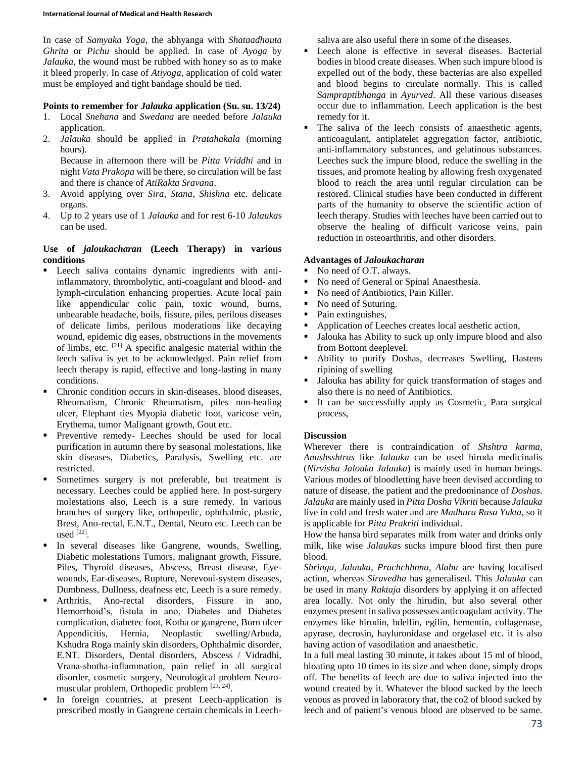In case of *Samyaka Yoga*, the abhyanga with *Shataadhouta Ghrita* or *Pichu* should be applied. In case of *Ayoga* by *Jalauka*, the wound must be rubbed with honey so as to make it bleed properly. In case of *Atiyoga*, application of cold water must be employed and tight bandage should be tied.

### **Points to remember for** *Jalauka* **application (Su. su. 13/24)**

- 1. Local *Snehana* and *Swedana* are needed before *Jalauka* application.
- 2. *Jalauka* should be applied in *Pratahakala* (morning hours).

Because in afternoon there will be *Pitta Vriddhi* and in night *Vata Prakopa* will be there, so circulation will be fast and there is chance of *AtiRakta Sravana*.

- 3. Avoid applying over *Sira, Stana, Shishna* etc. delicate organs.
- 4. Up to 2 years use of 1 *Jalauka* and for rest 6-10 *Jalauka*s can be used.

### **Use of** *jaloukacharan* **(Leech Therapy) in various conditions**

- Leech saliva contains dynamic ingredients with antiinflammatory, thrombolytic, anti-coagulant and blood- and lymph-circulation enhancing properties. Acute local pain like appendicular colic pain, toxic wound, burns, unbearable headache, boils, fissure, piles, perilous diseases of delicate limbs, perilous moderations like decaying wound, epidemic dig eases, obstructions in the movements of limbs, etc. [21] A specific analgesic material within the leech saliva is yet to be acknowledged. Pain relief from leech therapy is rapid, effective and long-lasting in many conditions.
- Chronic condition occurs in skin-diseases, blood diseases, Rheumatism, Chronic Rheumatism, piles non-healing ulcer, Elephant ties Myopia diabetic foot, varicose vein, Erythema, tumor Malignant growth, Gout etc.
- Preventive remedy- Leeches should be used for local purification in autumn there by seasonal molestations, like skin diseases, Diabetics, Paralysis, Swelling etc. are restricted.
- Sometimes surgery is not preferable, but treatment is necessary. Leeches could be applied here. In post-surgery molestations also, Leech is a sure remedy. In various branches of surgery like, orthopedic, ophthalmic, plastic, Brest, Ano-rectal, E.N.T., Dental, Neuro etc. Leech can be used [22] .
- In several diseases like Gangrene, wounds, Swelling, Diabetic molestations Tumors, malignant growth, Fissure, Piles, Thyroid diseases, Abscess, Breast disease, Eyewounds, Ear-diseases, Rupture, Nerevoui-system diseases, Dumbness, Dullness, deafness etc, Leech is a sure remedy.
- Arthritis, Ano-rectal disorders, Fissure in ano, Hemorrhoid's, fistula in ano, Diabetes and Diabetes complication, diabetec foot, Kotha or gangrene, Burn ulcer Appendicitis, Hernia, Neoplastic swelling/Arbuda, Kshudra Roga mainly skin disorders, Ophthalmic disorder, E.NT. Disorders, Dental disorders, Abscess / Vidradhi, Vrana-shotha-inflammation, pain relief in all surgical disorder, cosmetic surgery, Neurological problem Neuromuscular problem, Orthopedic problem [23, 24].
- In foreign countries, at present Leech-application is prescribed mostly in Gangrene certain chemicals in Leech-

saliva are also useful there in some of the diseases.

- Leech alone is effective in several diseases. Bacterial bodies in blood create diseases. When such impure blood is expelled out of the body, these bacterias are also expelled and blood begins to circulate normally. This is called *Sampraptibhanga* in *Ayurved*. All these various diseases occur due to inflammation. Leech application is the best remedy for it.
- The saliva of the leech consists of anaesthetic agents, anticoagulant, antiplatelet aggregation factor, antibiotic, anti-inflammatory substances, and gelatinous substances. Leeches suck the impure blood, reduce the swelling in the tissues, and promote healing by allowing fresh oxygenated blood to reach the area until regular circulation can be restored. Clinical studies have been conducted in different parts of the humanity to observe the scientific action of leech therapy. Studies with leeches have been carried out to observe the healing of difficult varicose veins, pain reduction in osteoarthritis, and other disorders.

## **Advantages of** *Jaloukacharan*

- No need of O.T. always.
- No need of General or Spinal Anaesthesia.
- No need of Antibiotics, Pain Killer.
- No need of Suturing.
- Pain extinguishes,
- Application of Leeches creates local aesthetic action,
- Jalouka has Ability to suck up only impure blood and also from Bottom deeplevel.
- Ability to purify Doshas, decreases Swelling, Hastens ripining of swelling
- Jalouka has ability for quick transformation of stages and also there is no need of Antibiotics.
- It can be successfully apply as Cosmetic, Para surgical process,

## **Discussion**

Wherever there is contraindication of *Shshtra karma, Anushsshtras* like *Jalauka* can be used hiruda medicinalis (*Nirvisha Jalouka Jalauka*) is mainly used in human beings. Various modes of bloodletting have been devised according to nature of disease, the patient and the predominance of *Doshas*. *Jalauka* are mainly used in *Pitta Dosha Vikriti* because *Jalauka* live in cold and fresh water and are *Madhura Rasa Yukta*, so it is applicable for *Pitta Prakriti* individual.

How the hansa bird separates milk from water and drinks only milk, like wise *Jalauka*s sucks impure blood first then pure blood.

*Shringa, Jalauka, Prachchhnna, Alabu* are having localised action, whereas *Siravedha* has generalised. This *Jalauka* can be used in many *Raktaja* disorders by applying it on affected area locally. Not only the hirudin, but also several other enzymes present in saliva possesses anticoagulant activity. The enzymes like hirudin, bdellin, egilin, hementin, collagenase, apyrase, decrosin, hayluronidase and orgelasel etc. it is also having action of vasodilation and anaesthetic.

In a full meal lasting 30 minute, it takes about 15 ml of blood, bloating upto 10 times in its size and when done, simply drops off. The benefits of leech are due to saliva injected into the wound created by it. Whatever the blood sucked by the leech venous as proved in laboratory that, the co2 of blood sucked by leech and of patient's venous blood are observed to be same.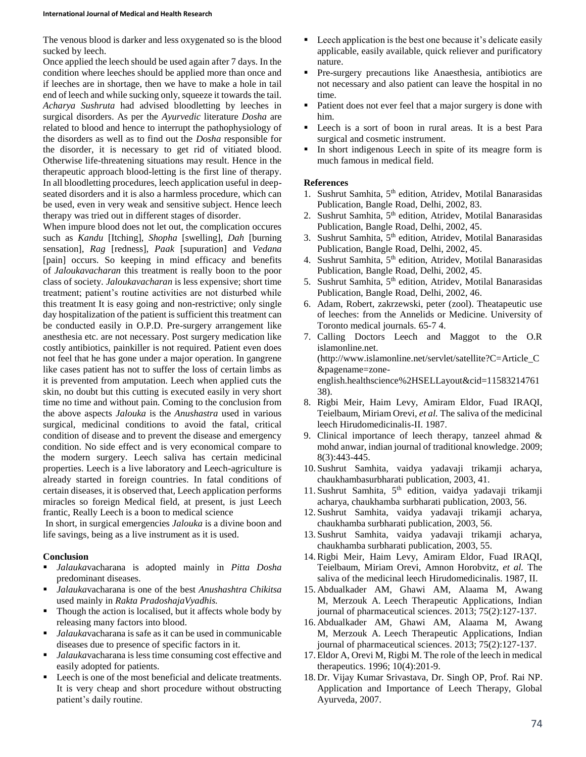The venous blood is darker and less oxygenated so is the blood sucked by leech.

Once applied the leech should be used again after 7 days. In the condition where leeches should be applied more than once and if leeches are in shortage, then we have to make a hole in tail end of leech and while sucking only, squeeze it towards the tail. *Acharya Sushruta* had advised bloodletting by leeches in surgical disorders. As per the *Ayurvedic* literature *Dosha* are related to blood and hence to interrupt the pathophysiology of the disorders as well as to find out the *Dosha* responsible for the disorder, it is necessary to get rid of vitiated blood. Otherwise life-threatening situations may result. Hence in the therapeutic approach blood-letting is the first line of therapy. In all bloodletting procedures, leech application useful in deepseated disorders and it is also a harmless procedure, which can be used, even in very weak and sensitive subject. Hence leech therapy was tried out in different stages of disorder.

When impure blood does not let out, the complication occures such as *Kandu* [Itching], *Shopha* [swelling], *Dah* [burning sensation], *Rag* [redness], *Paak* [supuration] and *Vedana* [pain] occurs. So keeping in mind efficacy and benefits of *Jaloukavacharan* this treatment is really boon to the poor class of society. *Jaloukavacharan* is less expensive; short time treatment; patient's routine activities are not disturbed while this treatment It is easy going and non-restrictive; only single day hospitalization of the patient is sufficient this treatment can be conducted easily in O.P.D. Pre-surgery arrangement like anesthesia etc. are not necessary. Post surgery medication like costly antibiotics, painkiller is not required. Patient even does not feel that he has gone under a major operation. In gangrene like cases patient has not to suffer the loss of certain limbs as it is prevented from amputation. Leech when applied cuts the skin, no doubt but this cutting is executed easily in very short time no time and without pain. Coming to the conclusion from the above aspects *Jalouka* is the *Anushastra* used in various surgical, medicinal conditions to avoid the fatal, critical condition of disease and to prevent the disease and emergency condition. No side effect and is very economical compare to the modern surgery. Leech saliva has certain medicinal properties. Leech is a live laboratory and Leech-agriculture is already started in foreign countries. In fatal conditions of certain diseases, it is observed that, Leech application performs miracles so foreign Medical field, at present, is just Leech frantic, Really Leech is a boon to medical science

In short, in surgical emergencies *Jalouka* is a divine boon and life savings, being as a live instrument as it is used.

## **Conclusion**

- *Jalauka*vacharana is adopted mainly in *Pitta Dosha* predominant diseases.
- *Jalauka*vacharana is one of the best *Anushashtra Chikitsa* used mainly in *Rakta PradoshajaVyadhis.*
- Though the action is localised, but it affects whole body by releasing many factors into blood.
- *Jalauka*vacharana is safe as it can be used in communicable diseases due to presence of specific factors in it.
- *Jalauka*vacharana is less time consuming cost effective and easily adopted for patients.
- **Leech is one of the most beneficial and delicate treatments.** It is very cheap and short procedure without obstructing patient's daily routine.
- Leech application is the best one because it's delicate easily applicable, easily available, quick reliever and purificatory nature.
- Pre-surgery precautions like Anaesthesia, antibiotics are not necessary and also patient can leave the hospital in no time.
- Patient does not ever feel that a major surgery is done with him.
- Leech is a sort of boon in rural areas. It is a best Para surgical and cosmetic instrument.
- In short indigenous Leech in spite of its meagre form is much famous in medical field.

#### **References**

- 1. Sushrut Samhita, 5<sup>th</sup> edition, Atridev, Motilal Banarasidas Publication, Bangle Road, Delhi, 2002, 83.
- 2. Sushrut Samhita, 5<sup>th</sup> edition, Atridev, Motilal Banarasidas Publication, Bangle Road, Delhi, 2002, 45.
- 3. Sushrut Samhita, 5<sup>th</sup> edition, Atridev, Motilal Banarasidas Publication, Bangle Road, Delhi, 2002, 45.
- 4. Sushrut Samhita, 5<sup>th</sup> edition, Atridev, Motilal Banarasidas Publication, Bangle Road, Delhi, 2002, 45.
- 5. Sushrut Samhita, 5<sup>th</sup> edition, Atridev, Motilal Banarasidas Publication, Bangle Road, Delhi, 2002, 46.
- 6. Adam, Robert, zakrzewski, peter (zool). Theatapeutic use of leeches: from the Annelids or Medicine. University of Toronto medical journals. 65-7 4.
- 7. Calling Doctors Leech and Maggot to the O.R islamonline.net. (http://www.islamonline.net/servlet/satellite?C=Article\_C &pagename=zoneenglish.healthscience%2HSELLayout&cid=11583214761 38).
- 8. Rigbi Meir, Haim Levy, Amiram Eldor, Fuad IRAQI, Teielbaum, Miriam Orevi, *et al.* The saliva of the medicinal leech Hirudomedicinalis-II. 1987.
- 9. Clinical importance of leech therapy, tanzeel ahmad & mohd anwar, indian journal of traditional knowledge. 2009; 8(3):443-445.
- 10. Sushrut Samhita, vaidya yadavaji trikamji acharya, chaukhambasurbharati publication, 2003, 41.
- 11. Sushrut Samhita, 5th edition, vaidya yadavaji trikamji acharya, chaukhamba surbharati publication, 2003, 56.
- 12. Sushrut Samhita, vaidya yadavaji trikamji acharya, chaukhamba surbharati publication, 2003, 56.
- 13. Sushrut Samhita, vaidya yadavaji trikamji acharya, chaukhamba surbharati publication, 2003, 55.
- 14.Rigbi Meir, Haim Levy, Amiram Eldor, Fuad IRAQI, Teielbaum, Miriam Orevi, Amnon Horobvitz, *et al.* The saliva of the medicinal leech Hirudomedicinalis. 1987, II.
- 15. Abdualkader AM, Ghawi AM, Alaama M, Awang M, Merzouk A. Leech Therapeutic Applications, Indian journal of pharmaceutical sciences. 2013; 75(2):127-137.
- 16. Abdualkader AM, Ghawi AM, Alaama M, Awang M, Merzouk A. Leech Therapeutic Applications, Indian journal of pharmaceutical sciences. 2013; 75(2):127-137.
- 17. Eldor A, Orevi M, Rigbi M. The role of the leech in medical therapeutics. 1996; 10(4):201-9.
- 18. Dr. Vijay Kumar Srivastava, Dr. Singh OP, Prof. Rai NP. Application and Importance of Leech Therapy, Global Ayurveda, 2007.